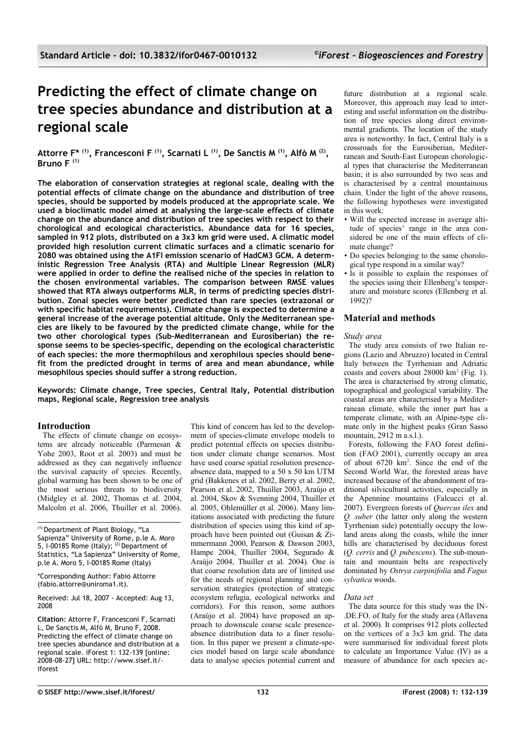# **Predicting the effect of climate change on tree species abundance and distribution at a regional scale**

**Attorre F\* (1), Francesconi F (1), Scarnati L (1), De Sanctis M (1), Alfò M (2) , Bruno F (1)**

**The elaboration of conservation strategies at regional scale, dealing with the potential effects of climate change on the abundance and distribution of tree species, should be supported by models produced at the appropriate scale. We used a bioclimatic model aimed at analysing the large-scale effects of climate change on the abundance and distribution of tree species with respect to their chorological and ecological characteristics. Abundance data for 16 species, sampled in 912 plots, distributed on a 3x3 km grid were used. A climatic model provided high resolution current climatic surfaces and a climatic scenario for 2080 was obtained using the A1FI emission scenario of HadCM3 GCM. A deterministic Regression Tree Analysis (RTA) and Multiple Linear Regression (MLR) were applied in order to define the realised niche of the species in relation to the chosen environmental variables. The comparison between RMSE values showed that RTA always outperforms MLR, in terms of predicting species distribution. Zonal species were better predicted than rare species (extrazonal or with specific habitat requirements). Climate change is expected to determine a general increase of the average potential altitude. Only the Mediterranean species are likely to be favoured by the predicted climate change, while for the two other chorological types (Sub-Mediterranean and Eurosiberian) the response seems to be species-specific, depending on the ecological characteristic of each species: the more thermophilous and xerophilous species should benefit from the predicted drought in terms of area and mean abundance, while mesophilous species should suffer a strong reduction.**

**Keywords: Climate change, Tree species, Central Italy, Potential distribution maps, Regional scale, Regression tree analysis**

# **Introduction**

The effects of climate change on ecosystems are already noticeable (Parmesan & Yohe 2003, Root et al. 2003) and must be addressed as they can negatively influence the survival capacity of species. Recently, global warming has been shown to be one of the most serious threats to biodiversity (Midgley et al. 2002, Thomas et al. 2004, Malcolm et al. 2006, Thuiller et al. 2006).

Received: Jul 18, 2007 - Accepted: Aug 13, 2008

**Citation**: Attorre F, Francesconi F, Scarnati L, De Sanctis M, Alfò M, Bruno F, 2008. Predicting the effect of climate change on tree species abundance and distribution at a regional scale. iForest 1: 132-139 [online: 2008-08-27] URL: http://www.sisef.it/ iforest

This kind of concern has led to the development of species-climate envelope models to predict potential effects on species distribution under climate change scenarios. Most have used coarse spatial resolution presenceabsence data, mapped to a 50 x 50 km UTM grid (Bakkenes et al. 2002, Berry et al. 2002, Pearson et al. 2002, Thuiller 2003, Araújo et al. 2004, Skov & Svenning 2004, Thuiller et al. 2005, Ohlemüller et al. 2006). Many limitations associated with predicting the future distribution of species using this kind of approach have been pointed out (Guisan & Zimmermann 2000, Pearson & Dawson 2003, Hampe 2004, Thuiller 2004, Segurado & Araújo 2004, Thuiller et al. 2004). One is that coarse resolution data are of limited use for the needs of regional planning and conservation strategies (protection of strategic ecosystem refugia, ecological networks and corridors). For this reason, some authors (Araújo et al. 2004) have proposed an approach to downscale coarse scale presenceabsence distribution data to a finer resolution. In this paper we present a climate-species model based on large scale abundance data to analyse species potential current and

future distribution at a regional scale. Moreover, this approach may lead to interesting and useful information on the distribution of tree species along direct environmental gradients. The location of the study area is noteworthy. In fact, Central Italy is a crossroads for the Eurosiberian, Mediterranean and South-East European chorological types that characterise the Mediterranean basin; it is also surrounded by two seas and is characterised by a central mountainous chain. Under the light of the above reasons, the following hypotheses were investigated in this work:

- Will the expected increase in average altitude of species' range in the area considered be one of the main effects of climate change?
- Do species belonging to the same chorological type respond in a similar way?
- Is it possible to explain the responses of the species using their Ellenberg's temperature and moisture scores (Ellenberg et al. 1992)?

# **Material and methods**

#### *Study area*

The study area consists of two Italian regions (Lazio and Abruzzo) located in Central Italy between the Tyrrhenian and Adriatic coasts and covers about  $28000 \text{ km}^2$  [\(Fig. 1\)](#page-1-0). The area is characterised by strong climatic, topographical and geological variability. The coastal areas are characterised by a Mediterranean climate, while the inner part has a temperate climate, with an Alpine-type climate only in the highest peaks (Gran Sasso mountain, 2912 m a.s.l.).

Forests, following the FAO forest definition (FAO 2001), currently occupy an area of about 6720 km<sup>2</sup> . Since the end of the Second World War, the forested areas have increased because of the abandonment of traditional silvicultural activities, especially in the Apennine mountains (Falcucci et al. 2007). Evergreen forests of *Quercus ilex* and *Q. suber* (the latter only along the western Tyrrhenian side) potentially occupy the lowland areas along the coasts, while the inner hills are characterised by deciduous forest (*Q. cerris* and *Q. pubescens*). The sub-mountain and mountain belts are respectively dominated by *Ostrya carpinifolia* and *Fagus sylvatica* woods.

#### *Data set*

The data source for this study was the IN .DE.FO. of Italy for the study area (Allavena et al. 2000). It comprises 912 plots collected on the vertices of a 3x3 km grid. The data were summarised for individual forest plots to calculate an Importance Value (IV) as a measure of abundance for each species ac

<sup>(1)</sup> Department of Plant Biology, "La Sapienza" University of Rome, p.le A. Moro 5, I-00185 Rome (Italy);  $(2)$  Department of Statistics, "La Sapienza" University of Rome, p.le A. Moro 5, I-00185 Rome (Italy)

<sup>\*</sup>Corresponding Author: Fabio Attorre (fabio.attorre@uniroma1.it).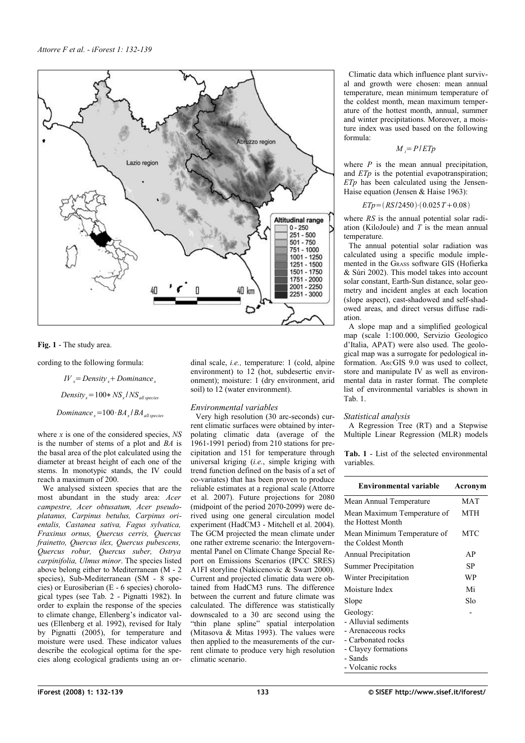

## <span id="page-1-0"></span>**Fig. 1** - The study area.

cording to the following formula:

*Dominancex*=100⋅*BA<sup>x</sup>* /*BAallspecies Densityx*=100∗*NS<sup>x</sup>* /*NSall species*  $IV = Density + Dominance$ <sub>x</sub>

where *x* is one of the considered species, *NS* is the number of stems of a plot and *BA* is the basal area of the plot calculated using the diameter at breast height of each one of the stems. In monotypic stands, the IV could reach a maximum of 200.

We analysed sixteen species that are the most abundant in the study area: *Acer campestre, Acer obtusatum, Acer pseudoplatanus, Carpinus betulus, Carpinus orientalis, Castanea sativa, Fagus sylvatica, Fraxinus ornus, Quercus cerris, Quercus frainetto, Quercus ilex, Quercus pubescens, Quercus robur, Quercus suber, Ostrya carpinifolia, Ulmus minor*. The species listed above belong either to Mediterranean (M - 2 species), Sub-Mediterranean (SM - 8 species) or Eurosiberian (E - 6 species) chorological types (see [Tab. 2](#page-2-0) - Pignatti 1982). In order to explain the response of the species to climate change, Ellenberg's indicator values (Ellenberg et al. 1992), revised for Italy by Pignatti (2005), for temperature and moisture were used. These indicator values describe the ecological optima for the species along ecological gradients using an ordinal scale, *i.e.,* temperature: 1 (cold, alpine environment) to 12 (hot, subdesertic environment); moisture: 1 (dry environment, arid soil) to 12 (water environment).

# *Environmental variables*

Very high resolution (30 arc-seconds) current climatic surfaces were obtained by interpolating climatic data (average of the 1961-1991 period) from 210 stations for precipitation and 151 for temperature through universal kriging (*i.e.*, simple kriging with trend function defined on the basis of a set of co-variates) that has been proven to produce reliable estimates at a regional scale (Attorre et al. 2007). Future projections for 2080 (midpoint of the period 2070-2099) were derived using one general circulation model experiment (HadCM3 - Mitchell et al. 2004). The GCM projected the mean climate under one rather extreme scenario: the Intergovernmental Panel on Climate Change Special Report on Emissions Scenarios (IPCC SRES) A1FI storyline (Nakicenovic & Swart 2000). Current and projected climatic data were obtained from HadCM3 runs. The difference between the current and future climate was calculated. The difference was statistically downscaled to a 30 arc second using the "thin plane spline" spatial interpolation (Mitasova & Mitas 1993). The values were then applied to the measurements of the current climate to produce very high resolution climatic scenario.

Climatic data which influence plant survival and growth were chosen: mean annual temperature, mean minimum temperature of the coldest month, mean maximum temperature of the hottest month, annual, summer and winter precipitations. Moreover, a moisture index was used based on the following formula:

$$
M_i = P/ETp
$$

where  $P$  is the mean annual precipitation, and *ETp* is the potential evapotranspiration; *ETp* has been calculated using the Jensen-Haise equation (Jensen & Haise 1963):

$$
ETp = (RS/2450) \cdot (0.025T + 0.08)
$$

where *RS* is the annual potential solar radiation (KiloJoule) and *T* is the mean annual temperature.

The annual potential solar radiation was calculated using a specific module implemented in the GRASS software GIS (Hofierka & Súri 2002). This model takes into account solar constant, Earth-Sun distance, solar geometry and incident angles at each location (slope aspect), cast-shadowed and self-shadowed areas, and direct versus diffuse radiation.

A slope map and a simplified geological map (scale 1:100.000, Servizio Geologico d'Italia, APAT) were also used. The geological map was a surrogate for pedological information. ARCGIS 9.0 was used to collect, store and manipulate IV as well as environmental data in raster format. The complete list of environmental variables is shown in [Tab. 1.](#page-1-1)

#### *Statistical analysis*

A Regression Tree (RT) and a Stepwise Multiple Linear Regression (MLR) models

<span id="page-1-1"></span>**Tab. 1** - List of the selected environmental variables.

| <b>Environmental variable</b>                    | Acronym |
|--------------------------------------------------|---------|
| Mean Annual Temperature                          | MAT     |
| Mean Maximum Temperature of<br>the Hottest Month | MTH     |
| Mean Minimum Temperature of<br>the Coldest Month | MTC     |
| <b>Annual Precipitation</b>                      | ΑP      |
| <b>Summer Precipitation</b>                      | SP      |
| Winter Precipitation                             | WP      |
| Moisture Index                                   | Mi      |
| Slope                                            | Slo     |
| Geology:                                         |         |
| - Alluvial sediments                             |         |
| - Arenaceous rocks                               |         |
| - Carbonated rocks                               |         |
| - Clayey formations                              |         |
| - Sands                                          |         |
| - Volcanic rocks                                 |         |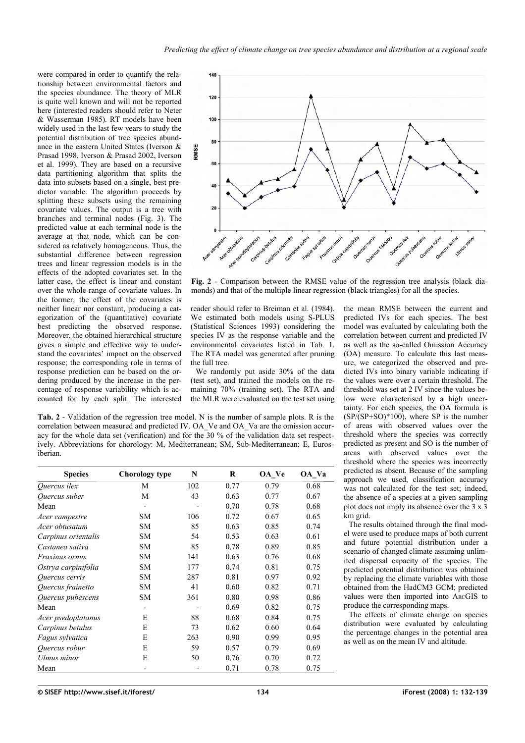were compared in order to quantify the relationship between environmental factors and the species abundance. The theory of MLR is quite well known and will not be reported here (interested readers should refer to Neter & Wasserman 1985). RT models have been widely used in the last few years to study the potential distribution of tree species abundance in the eastern United States (Iverson & Prasad 1998, Iverson & Prasad 2002, Iverson et al. 1999). They are based on a recursive data partitioning algorithm that splits the data into subsets based on a single, best predictor variable. The algorithm proceeds by splitting these subsets using the remaining covariate values. The output is a tree with branches and terminal nodes [\(Fig. 3\)](#page-3-0). The predicted value at each terminal node is the average at that node, which can be considered as relatively homogeneous. Thus, the substantial difference between regression trees and linear regression models is in the effects of the adopted covariates set. In the latter case, the effect is linear and constant over the whole range of covariate values. In the former, the effect of the covariates is neither linear nor constant, producing a categorization of the (quantitative) covariate best predicting the observed response. Moreover, the obtained hierarchical structure gives a simple and effective way to understand the covariates' impact on the observed response; the corresponding role in terms of response prediction can be based on the ordering produced by the increase in the percentage of response variability which is accounted for by each split. The interested



<span id="page-2-1"></span>**Fig. 2** - Comparison between the RMSE value of the regression tree analysis (black diamonds) and that of the multiple linear regression (black triangles) for all the species.

reader should refer to Breiman et al. (1984). We estimated both models using S-PLUS (Statistical Sciences 1993) considering the species IV as the response variable and the environmental covariates listed in [Tab. 1.](#page-1-1) The RTA model was generated after pruning the full tree.

We randomly put aside 30% of the data (test set), and trained the models on the remaining 70% (training set). The RTA and the MLR were evaluated on the test set using

the mean RMSE between the current and predicted IVs for each species. The best model was evaluated by calculating both the correlation between current and predicted IV as well as the so-called Omission Accuracy (OA) measure. To calculate this last measure, we categorized the observed and predicted IVs into binary variable indicating if the values were over a certain threshold. The threshold was set at 2 IV since the values below were characterised by a high uncertainty. For each species, the OA formula is  $(SP/(SP+SO)*100)$ , where SP is the number of areas with observed values over the threshold where the species was correctly predicted as present and SO is the number of areas with observed values over the threshold where the species was incorrectly predicted as absent. Because of the sampling approach we used, classification accuracy was not calculated for the test set; indeed, the absence of a species at a given sampling plot does not imply its absence over the 3 x 3 km grid.

The results obtained through the final model were used to produce maps of both current and future potential distribution under a scenario of changed climate assuming unlimited dispersal capacity of the species. The predicted potential distribution was obtained by replacing the climate variables with those obtained from the HadCM3 GCM; predicted values were then imported into ARCGIS to produce the corresponding maps.

The effects of climate change on species distribution were evaluated by calculating the percentage changes in the potential area as well as on the mean IV and altitude.

<span id="page-2-0"></span>**Tab. 2** - Validation of the regression tree model. N is the number of sample plots. R is the correlation between measured and predicted IV. OA\_Ve and OA\_Va are the omission accuracy for the whole data set (verification) and for the 30 % of the validation data set respectively. Abbreviations for chorology: M, Mediterranean; SM, Sub-Mediterranean; E, Eurosiberian.

| <b>Species</b>      | Chorology type           | N   | R    | OA Ve | OA Va |  |  |
|---------------------|--------------------------|-----|------|-------|-------|--|--|
| Quercus ilex        | М                        | 102 | 0.77 | 0.79  | 0.68  |  |  |
| Quercus suber       | М                        | 43  | 0.63 | 0.77  | 0.67  |  |  |
| Mean                | $\overline{\phantom{a}}$ |     | 0.70 | 0.78  | 0.68  |  |  |
| Acer campestre      | <b>SM</b>                | 106 | 0.72 | 0.67  | 0.65  |  |  |
| Acer obtusatum      | <b>SM</b>                | 85  | 0.63 | 0.85  | 0.74  |  |  |
| Carpinus orientalis | <b>SM</b>                | 54  | 0.53 | 0.63  | 0.61  |  |  |
| Castanea sativa     | <b>SM</b>                | 85  | 0.78 | 0.89  | 0.85  |  |  |
| Fraxinus ornus      | <b>SM</b>                | 141 | 0.63 | 0.76  | 0.68  |  |  |
| Ostrya carpinifolia | <b>SM</b>                | 177 | 0.74 | 0.81  | 0.75  |  |  |
| Quercus cerris      | <b>SM</b>                | 287 | 0.81 | 0.97  | 0.92  |  |  |
| Quercus frainetto   | <b>SM</b>                | 41  | 0.60 | 0.82  | 0.71  |  |  |
| Quercus pubescens   | <b>SM</b>                | 361 | 0.80 | 0.98  | 0.86  |  |  |
| Mean                | $\overline{\phantom{0}}$ |     | 0.69 | 0.82  | 0.75  |  |  |
| Acer psedoplatanus  | E                        | 88  | 0.68 | 0.84  | 0.75  |  |  |
| Carpinus betulus    | E                        | 73  | 0.62 | 0.60  | 0.64  |  |  |
| Fagus sylvatica     | E                        | 263 | 0.90 | 0.99  | 0.95  |  |  |
| Quercus robur       | E                        | 59  | 0.57 | 0.79  | 0.69  |  |  |
| Ulmus minor         | E                        | 50  | 0.76 | 0.70  | 0.72  |  |  |
| Mean                | $\overline{\phantom{0}}$ |     | 0.71 | 0.78  | 0.75  |  |  |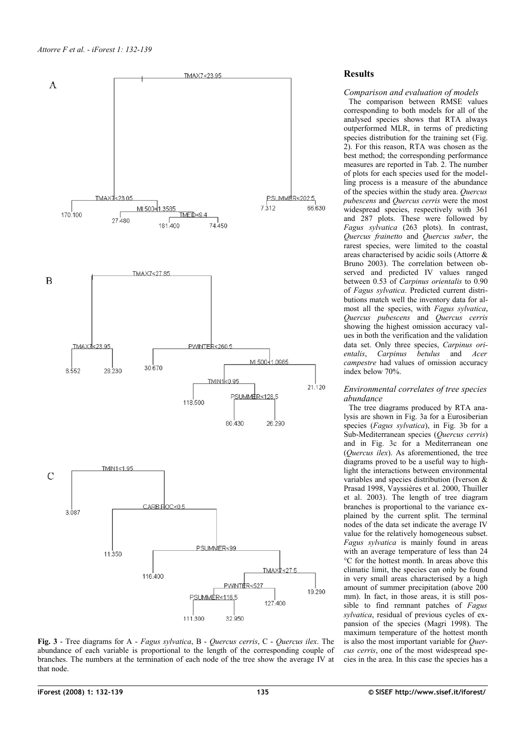

<span id="page-3-0"></span>**Fig. 3** - Tree diagrams for A - *Fagus sylvatica*, B - *Quercus cerris*, C - *Quercus ilex*. The abundance of each variable is proportional to the length of the corresponding couple of branches. The numbers at the termination of each node of the tree show the average IV at that node.

# **Results**

## *Comparison and evaluation of models*

The comparison between RMSE values corresponding to both models for all of the analysed species shows that RTA always outperformed MLR, in terms of predicting species distribution for the training set [\(Fig.](#page-2-1) [2\)](#page-2-1). For this reason, RTA was chosen as the best method; the corresponding performance measures are reported in [Tab. 2.](#page-2-0) The number of plots for each species used for the modelling process is a measure of the abundance of the species within the study area. *Quercus pubescens* and *Quercus cerris* were the most widespread species, respectively with 361 and 287 plots. These were followed by *Fagus sylvatica* (263 plots). In contrast, *Quercus frainetto* and *Quercus suber*, the rarest species, were limited to the coastal areas characterised by acidic soils (Attorre & Bruno 2003). The correlation between observed and predicted IV values ranged between 0.53 of *Carpinus orientalis* to 0.90 of *Fagus sylvatica*. Predicted current distributions match well the inventory data for almost all the species, with *Fagus sylvatica*, *Quercus pubescens* and *Quercus cerris* showing the highest omission accuracy values in both the verification and the validation data set. Only three species, *Carpinus orientalis*, *Carpinus betulus* and *Acer campestre* had values of omission accuracy index below 70%.

#### *Environmental correlates of tree species abundance*

The tree diagrams produced by RTA analysis are shown in [Fig. 3a](#page-3-0) for a Eurosiberian species (*Fagus sylvatica*), in [Fig. 3b](#page-3-0) for a Sub-Mediterranean species (*Quercus cerris*) and in [Fig. 3c](#page-3-0) for a Mediterranean one (*Quercus ilex*). As aforementioned, the tree diagrams proved to be a useful way to highlight the interactions between environmental variables and species distribution (Iverson & Prasad 1998, Vayssières et al. 2000, Thuiller et al. 2003). The length of tree diagram branches is proportional to the variance explained by the current split. The terminal nodes of the data set indicate the average IV value for the relatively homogeneous subset. *Fagus sylvatica* is mainly found in areas with an average temperature of less than 24 °C for the hottest month. In areas above this climatic limit, the species can only be found in very small areas characterised by a high amount of summer precipitation (above 200 mm). In fact, in those areas, it is still possible to find remnant patches of *Fagus sylvatica*, residual of previous cycles of expansion of the species (Magri 1998). The maximum temperature of the hottest month is also the most important variable for *Quercus cerris*, one of the most widespread species in the area. In this case the species has a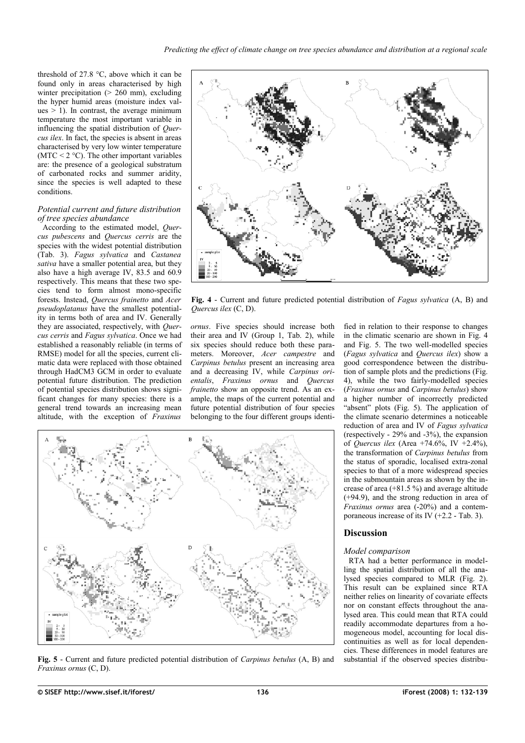threshold of 27.8 °C, above which it can be found only in areas characterised by high winter precipitation  $(> 260$  mm), excluding the hyper humid areas (moisture index values  $> 1$ ). In contrast, the average minimum temperature the most important variable in influencing the spatial distribution of *Quercus ilex*. In fact, the species is absent in areas characterised by very low winter temperature (MTC  $\leq$  2 °C). The other important variables are: the presence of a geological substratum of carbonated rocks and summer aridity, since the species is well adapted to these conditions.

#### *Potential current and future distribution of tree species abundance*

According to the estimated model, *Quercus pubescens* and *Quercus cerris* are the species with the widest potential distribution [\(Tab. 3\)](#page-5-0). *Fagus sylvatica* and *Castanea sativa* have a smaller potential area, but they also have a high average IV, 83.5 and 60.9 respectively. This means that these two species tend to form almost mono-specific forests. Instead, *Quercus frainetto* and *Acer pseudoplatanus* have the smallest potentiality in terms both of area and IV. Generally they are associated, respectively, with *Quercus cerris* and *Fagus sylvatica*. Once we had established a reasonably reliable (in terms of RMSE) model for all the species, current climatic data were replaced with those obtained through HadCM3 GCM in order to evaluate potential future distribution. The prediction of potential species distribution shows significant changes for many species: there is a general trend towards an increasing mean altitude, with the exception of *Fraxinus*



<span id="page-4-1"></span>**Fig. 4** - Current and future predicted potential distribution of *Fagus sylvatica* (A, B) and *Quercus ilex* (C, D).

*ornus*. Five species should increase both their area and IV (Group 1, [Tab. 2\)](#page-2-0), while six species should reduce both these parameters. Moreover, *Acer campestre* and *Carpinus betulus* present an increasing area and a decreasing IV, while *Carpinus orientalis*, *Fraxinus ornus* and *Quercus frainetto* show an opposite trend. As an example, the maps of the current potential and future potential distribution of four species belonging to the four different groups identi-



<span id="page-4-0"></span>**Fig. 5** - Current and future predicted potential distribution of *Carpinus betulus* (A, B) and *Fraxinus ornus* (C, D).

fied in relation to their response to changes in the climatic scenario are shown in [Fig. 4](#page-4-1) and [Fig. 5.](#page-4-0) The two well-modelled species (*Fagus sylvatica* and *Quercus ilex*) show a good correspondence between the distribution of sample plots and the predictions [\(Fig.](#page-4-1) [4\)](#page-4-1), while the two fairly-modelled species (*Fraxinus ornus* and *Carpinus betulus*) show a higher number of incorrectly predicted "absent" plots [\(Fig. 5\)](#page-4-0). The application of the climate scenario determines a noticeable reduction of area and IV of *Fagus sylvatica* (respectively - 29% and -3%), the expansion of *Quercus ilex* (Area +74.6%, IV +2.4%). the transformation of *Carpinus betulus* from the status of sporadic, localised extra-zonal species to that of a more widespread species in the submountain areas as shown by the increase of area (+81.5 %) and average altitude (+94.9), and the strong reduction in area of *Fraxinus ornus* area (-20%) and a contemporaneous increase of its IV  $(+2.2 - Tab. 3)$  $(+2.2 - Tab. 3)$ .

# **Discussion**

# *Model comparison*

RTA had a better performance in modelling the spatial distribution of all the analysed species compared to MLR [\(Fig. 2\)](#page-2-1). This result can be explained since RTA neither relies on linearity of covariate effects nor on constant effects throughout the analysed area. This could mean that RTA could readily accommodate departures from a homogeneous model, accounting for local discontinuities as well as for local dependencies. These differences in model features are substantial if the observed species distribu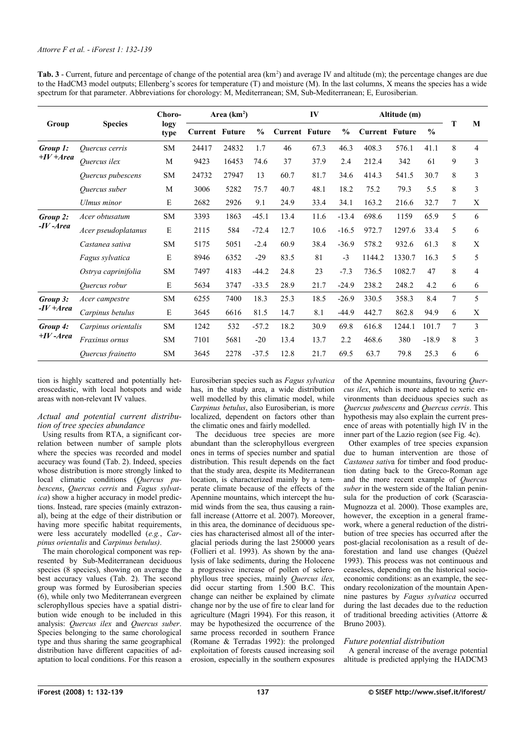<span id="page-5-0"></span>

| Tab. 3 - Current, future and percentage of change of the potential area (km <sup>2</sup> ) and average IV and altitude (m); the percentage changes are due |
|------------------------------------------------------------------------------------------------------------------------------------------------------------|
| to the HadCM3 model outputs; Ellenberg's scores for temperature (T) and moisture (M). In the last columns, X means the species has a wide                  |
| spectrum for that parameter. Abbreviations for chorology: M, Mediterranean; SM, Sub-Mediterranean; E, Eurosiberian.                                        |

| Group                    | <b>Species</b>      | Choro-<br>logy<br>type | Area $(km2)$          |       | IV            |                       |      | Altitude (m)  |                       |        |               |        |                |
|--------------------------|---------------------|------------------------|-----------------------|-------|---------------|-----------------------|------|---------------|-----------------------|--------|---------------|--------|----------------|
|                          |                     |                        | <b>Current Future</b> |       | $\frac{0}{0}$ | <b>Current Future</b> |      | $\frac{0}{0}$ | <b>Current Future</b> |        | $\frac{0}{0}$ |        | M              |
| Group 1:<br>$+IV + Area$ | Ouercus cerris      | <b>SM</b>              | 24417                 | 24832 | 1.7           | 46                    | 67.3 | 46.3          | 408.3                 | 576.1  | 41.1          | 8      | $\overline{4}$ |
|                          | Quercus ilex        | M                      | 9423                  | 16453 | 74.6          | 37                    | 37.9 | 2.4           | 212.4                 | 342    | 61            | 9      | 3              |
|                          | Quercus pubescens   | <b>SM</b>              | 24732                 | 27947 | 13            | 60.7                  | 81.7 | 34.6          | 414.3                 | 541.5  | 30.7          | 8      | 3              |
|                          | Quercus suber       | M                      | 3006                  | 5282  | 75.7          | 40.7                  | 48.1 | 18.2          | 75.2                  | 79.3   | 5.5           | 8      | 3              |
|                          | Ulmus minor         | E                      | 2682                  | 2926  | 9.1           | 24.9                  | 33.4 | 34.1          | 163.2                 | 216.6  | 32.7          | 7      | X              |
| Group 2:<br>$-IV - Area$ | Acer obtusatum      | <b>SM</b>              | 3393                  | 1863  | $-45.1$       | 13.4                  | 11.6 | $-13.4$       | 698.6                 | 1159   | 65.9          | 5      | 6              |
|                          | Acer pseudoplatanus | E                      | 2115                  | 584   | $-72.4$       | 12.7                  | 10.6 | $-16.5$       | 972.7                 | 1297.6 | 33.4          | 5      | 6              |
|                          | Castanea sativa     | <b>SM</b>              | 5175                  | 5051  | $-2.4$        | 60.9                  | 38.4 | $-36.9$       | 578.2                 | 932.6  | 61.3          | 8      | X              |
|                          | Fagus sylvatica     | E                      | 8946                  | 6352  | $-29$         | 83.5                  | 81   | $-3$          | 1144.2                | 1330.7 | 16.3          | 5      | 5              |
|                          | Ostrya caprinifolia | <b>SM</b>              | 7497                  | 4183  | $-44.2$       | 24.8                  | 23   | $-7.3$        | 736.5                 | 1082.7 | 47            | 8      | 4              |
|                          | Quercus robur       | E                      | 5634                  | 3747  | $-33.5$       | 28.9                  | 21.7 | $-24.9$       | 238.2                 | 248.2  | 4.2           | 6      | 6              |
| Group 3:<br>$-IV + Area$ | Acer campestre      | <b>SM</b>              | 6255                  | 7400  | 18.3          | 25.3                  | 18.5 | $-26.9$       | 330.5                 | 358.3  | 8.4           | $\tau$ | 5              |
|                          | Carpinus betulus    | E                      | 3645                  | 6616  | 81.5          | 14.7                  | 8.1  | $-44.9$       | 442.7                 | 862.8  | 94.9          | 6      | X              |
| Group 4:<br>$+IV-Area$   | Carpinus orientalis | <b>SM</b>              | 1242                  | 532   | $-57.2$       | 18.2                  | 30.9 | 69.8          | 616.8                 | 1244.1 | 101.7         | 7      | 3              |
|                          | Fraxinus ornus      | <b>SM</b>              | 7101                  | 5681  | $-20$         | 13.4                  | 13.7 | 2.2           | 468.6                 | 380    | $-18.9$       | 8      | 3              |
|                          | Quercus frainetto   | <b>SM</b>              | 3645                  | 2278  | $-37.5$       | 12.8                  | 21.7 | 69.5          | 63.7                  | 79.8   | 25.3          | 6      | 6              |

tion is highly scattered and potentially heteroscedastic, with local hotspots and wide areas with non-relevant IV values.

#### *Actual and potential current distribution of tree species abundance*

Using results from RTA, a significant correlation between number of sample plots where the species was recorded and model accuracy was found [\(Tab. 2\)](#page-2-0). Indeed, species whose distribution is more strongly linked to local climatic conditions (*Quercus pubescens*, *Quercus cerris* and *Fagus sylvatica*) show a higher accuracy in model predictions. Instead, rare species (mainly extrazonal), being at the edge of their distribution or having more specific habitat requirements, were less accurately modelled (*e.g.*, *Carpinus orientalis* and *Carpinus betulus)*.

The main chorological component was represented by Sub-Mediterranean deciduous species (8 species), showing on average the best accuracy values [\(Tab. 2\)](#page-2-0). The second group was formed by Eurosiberian species (6), while only two Mediterranean evergreen sclerophyllous species have a spatial distribution wide enough to be included in this analysis: *Quercus ilex* and *Quercus suber*. Species belonging to the same chorological type and thus sharing the same geographical distribution have different capacities of adaptation to local conditions. For this reason a

Eurosiberian species such as *Fagus sylvatica* has, in the study area, a wide distribution well modelled by this climatic model, while *Carpinus betulus*, also Eurosiberian, is more localized, dependent on factors other than the climatic ones and fairly modelled.

The deciduous tree species are more abundant than the sclerophyllous evergreen ones in terms of species number and spatial distribution. This result depends on the fact that the study area, despite its Mediterranean location, is characterized mainly by a temperate climate because of the effects of the Apennine mountains, which intercept the humid winds from the sea, thus causing a rainfall increase (Attorre et al. 2007). Moreover, in this area, the dominance of deciduous species has characterised almost all of the interglacial periods during the last 250000 years (Follieri et al. 1993). As shown by the analysis of lake sediments, during the Holocene a progressive increase of pollen of sclerophyllous tree species, mainly *Quercus ilex,* did occur starting from 1.500 B.C. This change can neither be explained by climate change nor by the use of fire to clear land for agriculture (Magri 1994). For this reason, it may be hypothesized the occurrence of the same process recorded in southern France (Romane & Terradas 1992): the prolonged exploitation of forests caused increasing soil erosion, especially in the southern exposures of the Apennine mountains, favouring *Quercus ilex*, which is more adapted to xeric environments than deciduous species such as *Quercus pubescens* and *Quercus cerris*. This hypothesis may also explain the current presence of areas with potentially high IV in the inner part of the Lazio region (see [Fig. 4c](#page-4-1)).

Other examples of tree species expansion due to human intervention are those of *Castanea sativ*a for timber and food production dating back to the Greco-Roman age and the more recent example of *Quercus suber* in the western side of the Italian peninsula for the production of cork (Scarascia-Mugnozza et al. 2000). Those examples are, however, the exception in a general framework, where a general reduction of the distribution of tree species has occurred after the post-glacial recolonisation as a result of deforestation and land use changes (Quézel 1993). This process was not continuous and ceaseless, depending on the historical socioeconomic conditions: as an example, the secondary recolonization of the mountain Apennine pastures by *Fagus sylvatica* occurred during the last decades due to the reduction of traditional breeding activities (Attorre & Bruno 2003).

#### *Future potential distribution*

A general increase of the average potential altitude is predicted applying the HADCM3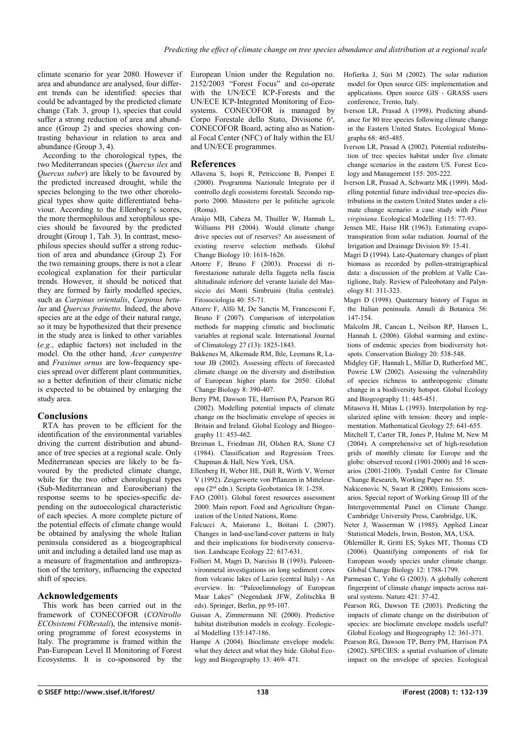climate scenario for year 2080. However if area and abundance are analysed, four different trends can be identified: species that could be advantaged by the predicted climate change [\(Tab. 3,](#page-5-0) group 1), species that could suffer a strong reduction of area and abundance (Group 2) and species showing contrasting behaviour in relation to area and abundance (Group 3, 4).

According to the chorological types, the two Mediterranean species (*Quercus ilex* and *Quercus suber*) are likely to be favoured by the predicted increased drought, while the species belonging to the two other chorological types show quite differentiated behaviour. According to the Ellenberg's scores, the more thermophilous and xerophilous species should be favoured by the predicted drought (Group 1, [Tab. 3\)](#page-5-0). In contrast, mesophilous species should suffer a strong reduction of area and abundance (Group 2). For the two remaining groups, there is not a clear ecological explanation for their particular trends. However, it should be noticed that they are formed by fairly modelled species, such as *Carpinus orientalis*, *Carpinus betulus* and *Quercus frainetto.* Indeed, the above species are at the edge of their natural range, so it may be hypothesized that their presence in the study area is linked to other variables (*e.g.*, edaphic factors) not included in the model. On the other hand, *Acer campestre* and *Fraxinus ornus* are low-frequency species spread over different plant communities, so a better definition of their climatic niche is expected to be obtained by enlarging the study area.

# **Conclusions**

RTA has proven to be efficient for the identification of the environmental variables driving the current distribution and abundance of tree species at a regional scale. Only Mediterranean species are likely to be favoured by the predicted climate change, while for the two other chorological types (Sub-Mediterranean and Eurosiberian) the response seems to be species-specific depending on the autoecological characteristic of each species. A more complete picture of the potential effects of climate change would be obtained by analysing the whole Italian peninsula considered as a biogeographical unit and including a detailed land use map as a measure of fragmentation and anthropization of the territory, influencing the expected shift of species.

# **Acknowledgements**

This work has been carried out in the framework of CONECOFOR (*CONtrollo ECOsistemi FORestali*), the intensive monitoring programme of forest ecosystems in Italy. The programme is framed within the Pan-European Level II Monitoring of Forest Ecosystems. It is co-sponsored by the

European Union under the Regulation no. 2152/2003 "Forest Focus" and co-operate with the UN/ECE ICP-Forests and the UN/ECE ICP-Integrated Monitoring of Ecosystems. CONECOFOR is managed by Corpo Forestale dello Stato, Divisione 6ª, CONECOFOR Board, acting also as National Focal Center (NFC) of Italy within the EU and UN/ECE programmes.

## **References**

- Allavena S, Isopi R, Petriccione B, Pompei E (2000). Programma Nazionale Integrato per il controllo degli ecosistemi forestali. Secondo rapporto 2000. Ministero per le politiche agricole (Roma).
- Araújo MB, Cabeza M, Thuiller W, Hannah L, Williams PH (2004). Would climate change drive species out of reserves? An assessment of existing reserve selection methods. Global Change Biology 10: 1618-1626.
- Attorre F, Bruno F (2003). Processi di riforestazione naturale della faggeta nella fascia altitudinale inferiore del verante laziale del Massiccio dei Monti Simbruini (Italia centrale). Fitosociologia 40: 55-71.
- Attorre F, Alfò M, De Sanctis M, Francesconi F, Bruno F (2007). Comparison of interpolation methods for mapping climatic and bioclimatic variables at regional scale. International Journal of Climatology 27 (13): 1825-1843.
- Bakkenes M, Alkemade RM, Ihle, Leemans R, Latour JB (2002). Assessing effects of forecasted climate change on the diversity and distribution of European higher plants for 2050. Global Change Biology 8: 390-407.
- Berry PM, Dawson TE, Harrison PA, Pearson RG (2002). Modelling potential impacts of climate change on the bioclimatic envelope of species in Britain and Ireland. Global Ecology and Biogeography 11: 453-462.
- Breiman L, Friedman JH, Olshen RA, Stone CJ (1984). Classification and Regression Trees. Chapman & Hall, New York, USA.
- Ellenberg H, Weber HE, Düll R, Wirth V, Werner V (1992). Zeigerwerte von Pflanzen in Mitteleuropa (2nd edn.). Scripta Geobotanica 18: 1-258.
- FAO (2001). Global forest resources assessment 2000. Main report. Food and Agriculture Organization of the United Nations, Rome.
- Falcucci A, Maiorano L, Boitani L (2007). Changes in land-use/land-cover patterns in Italy and their implications for biodiversity conservation. Landscape Ecology 22: 617-631.
- Follieri M, Magri D, Narcisis B (1993). Paleoenvironmetal investigations on long sediment cores from volcanic lakes of Lazio (central Italy) - An overview. In: "Paleoelimnology of European Maar Lakes" (Negendank JFW, Zolitschka B eds). Springer, Berlin, pp 95-107.
- Guisan A, Zimmermann NE (2000). Predictive habitat distribution models in ecology. Ecological Modelling 135:147-186.
- Hampe A (2004). Bioclimate envelope models: what they detect and what they hide. Global Ecology and Biogeography 13: 469- 471.

Hofierka J, Súri M (2002). The solar radiation model for Open source GIS: implementation and applications. Open source GIS - GRASS users conference, Trento, Italy.

- Iverson LR, Prasad A (1998). Predicting abundance for 80 tree species following climate change in the Eastern United States. Ecological Monographs 68: 465-485.
- Iverson LR, Prasad A (2002). Potential redistribution of tree species habitat under five climate change scenarios in the eastern US. Forest Ecology and Management 155: 205-222.
- Iverson LR, Prasad A, Schwartz MK (1999). Modelling potential future individual tree-species distributions in the eastern United States under a climate change scenario: a case study with *Pinus virginiana*. Ecological Modelling 115: 77-93.
- Jensen ME, Haise HR (1963). Estimating evapotranspiration from solar radiation. Journal of the Irrigation and Drainage Division 89: 15-41.
- Magri D (1994). Late-Quaternary changes of plant biomass as recorded by pollen-stratrigraphical data: a discussion of the problem at Valle Castiglione, Italy. Review of Paleobotany and Palynology 81: 311-323.
- Magri D (1998). Quaternary history of Fagus in the Italian peninsula. Annali di Botanica 56: 147-154.
- Malcolm JR, Cancan L, Neilson RP, Hansen L, Hannah L (2006). Global warming and extinctions of endemic species from biodiversity hotspots. Conservation Biology 20: 538-548.
- Midgley GF, Hannah L, Millar D, Rutherford MC, Powrie LW (2002). Assessing the vulnerability of species richness to anthropogenic climate change in a biodiversity hotspot. Global Ecology and Biogeography 11: 445-451.
- Mitasova H, Mitas L (1993). Interpolation by regularized spline with tension: theory and implementation. Mathematical Geology 25: 641-655.
- Mitchell T, Carter TR, Jones P, Hulme M, New M (2004). A comprehensive set of high-resolution grids of monthly climate for Europe and the globe: observed record (1901-2000) and 16 scenarios (2001-2100). Tyndall Centre for Climate Change Research, Working Paper no. 55.
- Nakicenovic N, Swart R (2000). Emissions scenarios. Special report of Working Group III of the Intergovernmental Panel on Climate Change. Cambridge University Press, Cambridge, UK.
- Neter J, Wasserman W (1985). Applied Linear Statistical Models, Irwin, Boston, MA, USA.
- Ohlemüller R, Gritti ES, Sykes MT, Thomas CD (2006). Quantifying components of risk for European woody species under climate change. Global Change Biology 12: 1788-1799.
- Parmesan C, Yohe G (2003). A globally coherent fingerprint of climate change impacts across natural systems. Nature 421: 37-42.
- Pearson RG, Dawson TE (2003). Predicting the impacts of climate change on the distribution of species: are bioclimate envelope models useful? Global Ecology and Biogeography 12: 361-371.
- Pearson RG, Dawson TP, Berry PM, Harrison PA (2002). SPECIES: a spatial evaluation of climate impact on the envelope of species. Ecological